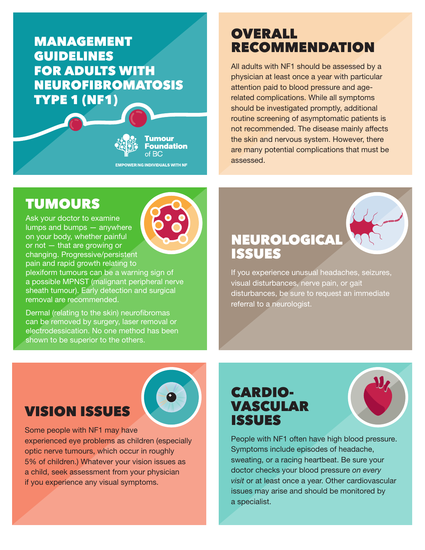#### MANAGEMENT GUIDELINES FOR ADULTS WITH NEUROFIBROMATOSIS TYPE 1 (NF1)

**Foundation** of BC **EMPOWERING INDIVIDUALS WITH NF** 

**Tumour** 

### **OVERALL** RECOMMENDATION

All adults with NF1 should be assessed by a physician at least once a year with particular attention paid to blood pressure and agerelated complications. While all symptoms should be investigated promptly, additional routine screening of asymptomatic patients is not recommended. The disease mainly affects the skin and nervous system. However, there are many potential complications that must be assessed.

# TUMOURS

Ask your doctor to examine lumps and bumps — anywhere on your body, whether painful or not — that are growing or changing. Progressive/persistent pain and rapid growth relating to

plexiform tumours can be a warning sign of a possible MPNST (malignant peripheral nerve sheath tumour). Early detection and surgical removal are recommended.

Dermal (relating to the skin) neurofibromas can be removed by surgery, laser removal or electrodessication. No one method has been shown to be superior to the others.



If you experience unusual headaches, seizures, visual disturbances, nerve pain, or gait disturbances, be sure to request an immediate referral to a neurologist.

### VISION ISSUES



Some people with NF1 may have experienced eye problems as children (especially optic nerve tumours, which occur in roughly 5% of children.) Whatever your vision issues as a child, seek assessment from your physician if you experience any visual symptoms.

### CARDIO-VASCULAR ISSUES

People with NF1 often have high blood pressure. Symptoms include episodes of headache, sweating, or a racing heartbeat. Be sure your doctor checks your blood pressure *on every visit* or at least once a year. Other cardiovascular issues may arise and should be monitored by a specialist.